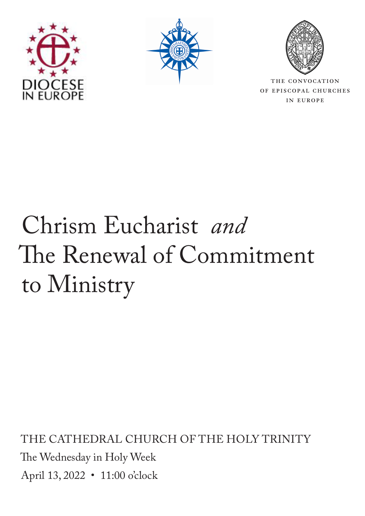





THE CONVOCATION of episcopal churches in europe

# Chrism Eucharist *and* The Renewal of Commitment to Ministry

THE CATHEDRAL CHURCH OF THE HOLY TRINITY The Wednesday in Holy Week April 13, 2022 • 11:00 o'clock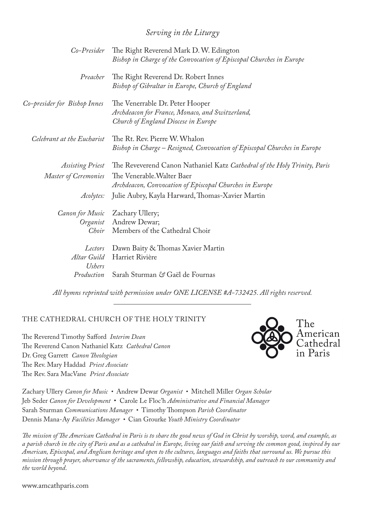### *Serving in the Liturgy*

| Co-Presider                             | The Right Reverend Mark D. W. Edington<br>Bishop in Charge of the Convocation of Episcopal Churches in Europe             |
|-----------------------------------------|---------------------------------------------------------------------------------------------------------------------------|
| Preacher                                | The Right Reverend Dr. Robert Innes<br>Bishop of Gibraltar in Europe, Church of England                                   |
| Co-presider for Bishop Innes            | The Venerrable Dr. Peter Hooper<br>Archdeacon for France, Monaco, and Switzerland,<br>Church of England Diocese in Europe |
| Celebrant at the Eucharist              | The Rt. Rev. Pierre W. Whalon<br>Bishop in Charge – Resigned, Convocation of Episcopal Churches in Europe                 |
| Assisting Priest                        | The Reveverend Canon Nathaniel Katz Cathedral of the Holy Trinity, Paris                                                  |
| Master of Ceremonies                    | The Venerable. Walter Baer<br>Archdeacon, Convocation of Episcopal Churches in Europe                                     |
| Acolytes:                               | Julie Aubry, Kayla Harward, Thomas-Xavier Martin                                                                          |
| Canon for Music                         | Zachary Ullery;<br>Organist Andrew Dewar;<br>Choir Members of the Cathedral Choir                                         |
| Lectors<br>Altar Guild<br><b>Ushers</b> | Dawn Baity & Thomas Xavier Martin<br>Harriet Rivière                                                                      |
| Production                              | Sarah Sturman & Gaël de Fournas                                                                                           |
|                                         |                                                                                                                           |

*All hymns reprinted with permission under ONE LICENSE #A-732425. All rights reserved.* 

#### THE CATHEDRAL CHURCH OF THE HOLY TRINITY

The Reverend Timothy Safford *Interim Dean* The Reverend Canon Nathaniel Katz *Cathedral Canon*  Dr. Greg Garrett *Canon Theologian* The Rev. Mary Haddad *Priest Associate* The Rev. Sara MacVane *Priest Associate*



Zachary Ullery *Canon for Music •* Andrew Dewar *Organist •* Mitchell Miller *Organ Scholar* Jeb Seder *Canon for Development* • Carole Le Floc'h *Administrative and Financial Manager*  Sarah Sturman *Communications Manager •* Timothy Thompson *Parish Coordinator* Dennis Mana-Ay *Facilities Manager •* Cian Grourke *Youth Ministry Coordinator*

*The mission of The American Cathedral in Paris is to share the good news of God in Christ by worship, word, and example, as a parish church in the city of Paris and as a cathedral in Europe, living our faith and serving the common good, inspired by our American, Episcopal, and Anglican heritage and open to the cultures, languages and faiths that surround us. We pursue this mission through prayer, observance of the sacraments, fellowship, education, stewardship, and outreach to our community and the world beyond*.

www.amcathparis.com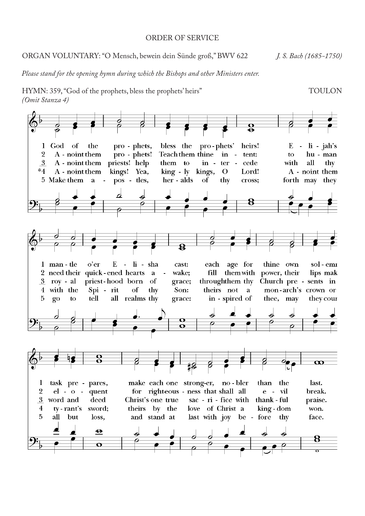#### ORDER OF SERVICE

#### ORGAN VOLUNTARY: "O Mensch, bewein dein Sünde groß," BWV 622 *J. S. Bach (1685-1750)*

*Please stand for the opening hymn during which the Bishops and other Ministers enter.*

HYMN: 359, "God of the prophets, bless the prophets' heirs" TOULON (Omit Stanza 4) *(Omit Stanza 4)* The Hymnal 1982 - #359 God of the prophets, bless the prophets the prophets of the prophets' heirs the prophets' heirs the prophets' heirs the prophets of the prophets' heirs the prophets' heirs the proph

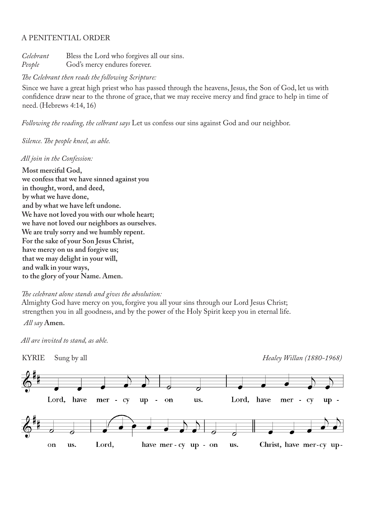#### A PENITENTIAL ORDER

*Celebrant* Bless the Lord who forgives all our sins. *People* God's mercy endures forever.

#### *The Celebrant then reads the following Scripture:*

Since we have a great high priest who has passed through the heavens, Jesus, the Son of God, let us with confidence draw near to the throne of grace, that we may receive mercy and find grace to help in time of need. (Hebrews 4:14, 16)

*Following the reading, the celbrant says* Let us confess our sins against God and our neighbor.

#### *Silence. The people kneel, as able.*

#### *All join in the Confession:*

**Most merciful God, we confess that we have sinned against you in thought, word, and deed, by what we have done, and by what we have left undone. We have not loved you with our whole heart; we have not loved our neighbors as ourselves. We are truly sorry and we humbly repent. For the sake of your Son Jesus Christ, have mercy on us and forgive us; that we may delight in your will, and walk in your ways, to the glory of your Name. Amen.**

*The celebrant alone stands and gives the absolution:*

Almighty God have mercy on you, forgive you all your sins through our Lord Jesus Christ; strengthen you in all goodness, and by the power of the Holy Spirit keep you in eternal life.

*All say* **Amen.**

*All are invited to stand, as able.*

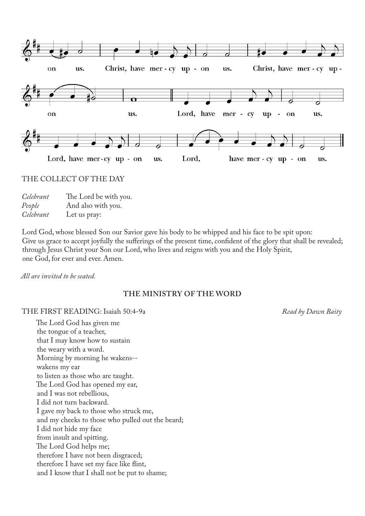

#### THE COLLECT OF THE DAY

| Celebrant | The Lord be with you. |
|-----------|-----------------------|
| People    | And also with you.    |
| Celebrant | Let us pray:          |

Lord God, whose blessed Son our Savior gave his body to be whipped and his face to be spit upon: Give us grace to accept joyfully the sufferings of the present time, confident of the glory that shall be revealed; through Jesus Christ your Son our Lord, who lives and reigns with you and the Holy Spirit, one God, for ever and ever. Amen.

*All are invited to be seated.*

#### **THE MINISTRY OF THE WORD**

#### THE FIRST READING: Isaiah 50:4-9a *Read by Dawn Baity*

The Lord God has given me the tongue of a teacher, that I may know how to sustain the weary with a word. Morning by morning he wakens- wakens my ear to listen as those who are taught. The Lord God has opened my ear, and I was not rebellious, I did not turn backward. I gave my back to those who struck me, and my cheeks to those who pulled out the beard; I did not hide my face from insult and spitting. The Lord God helps me; therefore I have not been disgraced; therefore I have set my face like flint, and I know that I shall not be put to shame;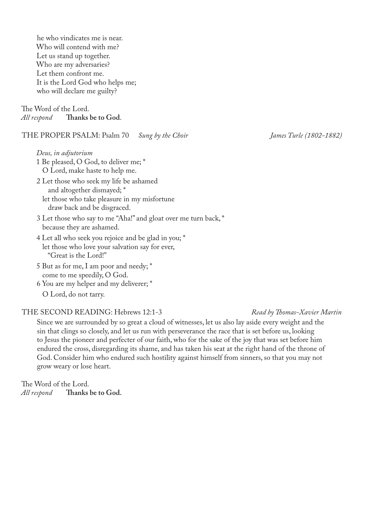he who vindicates me is near. Who will contend with me? Let us stand up together. Who are my adversaries? Let them confront me. It is the Lord God who helps me; who will declare me guilty?

The Word of the Lord.<br>*All respond* Thanks *All respond* **Thanks be to God**.

THE PROPER PSALM: Psalm 70 *Sung by the Choir James Turle (1802-1882)*

*Deus, in adjutorium* 1 Be pleased, O God, to deliver me; \* O Lord, make haste to help me.

2 Let those who seek my life be ashamed and altogether dismayed; \* let those who take pleasure in my misfortune draw back and be disgraced.

- 3 Let those who say to me "Aha!" and gloat over me turn back, \* because they are ashamed.
- 4 Let all who seek you rejoice and be glad in you; \* let those who love your salvation say for ever, "Great is the Lord!"
- 5 But as for me, I am poor and needy; \* come to me speedily, O God.
- 6 You are my helper and my deliverer; \* O Lord, do not tarry.

#### THE SECOND READING: Hebrews 12:1-3 *Read by Thomas-Xavier Martin*

Since we are surrounded by so great a cloud of witnesses, let us also lay aside every weight and the sin that clings so closely, and let us run with perseverance the race that is set before us, looking to Jesus the pioneer and perfecter of our faith, who for the sake of the joy that was set before him endured the cross, disregarding its shame, and has taken his seat at the right hand of the throne of God. Consider him who endured such hostility against himself from sinners, so that you may not grow weary or lose heart.

The Word of the Lord.<br>*All respond* Thanks **Thanks be to God.**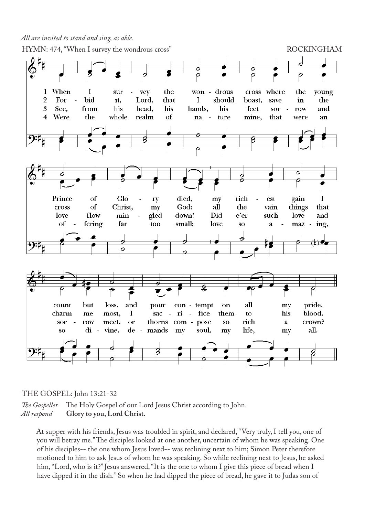*All are invited to stand and sing, as able.*



## THE GOSPEL: John  $13:21-32$

The Gospeller The Holy Gospel of our Lord Jesus Christ according to John. All respond **Glory to you, Lord Christ.** 

At supper with his friends, Jesus was troubled in spirit, and declared, "Very truly, I tell you, one of you will betray me." The disciples looked at one another, uncertain of whom he was speaking. One you will betray me." The disciples looked at one another, uncertain of whom he was speaking. One fou will be tay the. The disciples to side at one aholicit, ancertain of whom he was speaking. motioned to him to ask Jesus of whom he was speaking. So while reclining next to Jesus, he asked him, "Lord, who is it?" Jesus answered, "It is the one to whom I give this piece of bread when I have dipped it in the dish." So when he had dipped the piece of bread, he gave it to Judas son of upper with his friends. Jesus was troubled in spir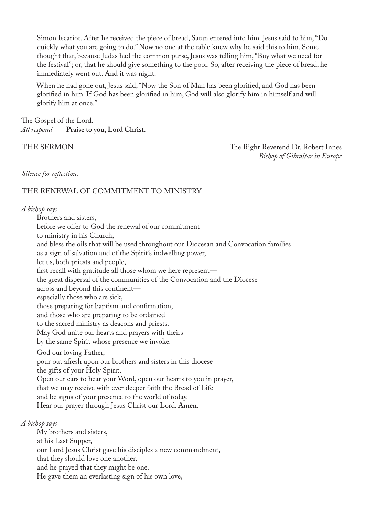Simon Iscariot. After he received the piece of bread, Satan entered into him. Jesus said to him, "Do quickly what you are going to do." Now no one at the table knew why he said this to him. Some thought that, because Judas had the common purse, Jesus was telling him, "Buy what we need for the festival"; or, that he should give something to the poor. So, after receiving the piece of bread, he immediately went out. And it was night.

When he had gone out, Jesus said, "Now the Son of Man has been glorified, and God has been glorified in him. If God has been glorified in him, God will also glorify him in himself and will glorify him at once."

The Gospel of the Lord. *All respond* **Praise to you, Lord Christ.**

THE SERMON THE SERMON *Bishop of Gibraltar in Europe*

*Silence for reflection.*

#### THE RENEWAL OF COMMITMENT TO MINISTRY

*A bishop says*

Brothers and sisters, before we offer to God the renewal of our commitment to ministry in his Church, and bless the oils that will be used throughout our Diocesan and Convocation families as a sign of salvation and of the Spirit's indwelling power, let us, both priests and people, first recall with gratitude all those whom we here represent the great dispersal of the communities of the Convocation and the Diocese across and beyond this continent especially those who are sick, those preparing for baptism and confirmation, and those who are preparing to be ordained to the sacred ministry as deacons and priests. May God unite our hearts and prayers with theirs by the same Spirit whose presence we invoke. God our loving Father, pour out afresh upon our brothers and sisters in this diocese the gifts of your Holy Spirit. Open our ears to hear your Word, open our hearts to you in prayer, that we may receive with ever deeper faith the Bread of Life and be signs of your presence to the world of today. Hear our prayer through Jesus Christ our Lord. **Amen**. *A bishop says* My brothers and sisters,

at his Last Supper,

our Lord Jesus Christ gave his disciples a new commandment,

that they should love one another,

and he prayed that they might be one.

He gave them an everlasting sign of his own love,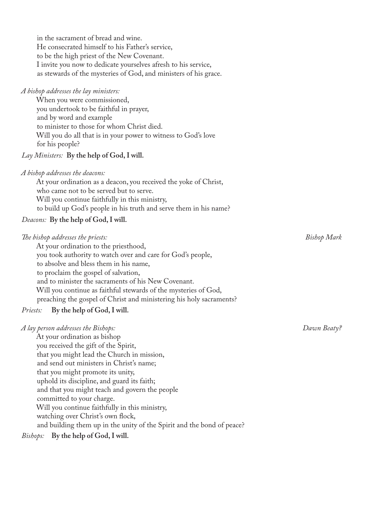in the sacrament of bread and wine. He consecrated himself to his Father's service, to be the high priest of the New Covenant. I invite you now to dedicate yourselves afresh to his service, as stewards of the mysteries of God, and ministers of his grace. *A bishop addresses the lay ministers:* When you were commissioned, you undertook to be faithful in prayer, and by word and example to minister to those for whom Christ died. Will you do all that is in your power to witness to God's love for his people? *Lay Ministers:* **By the help of God, I will.** *A bishop addresses the deacons:*  At your ordination as a deacon, you received the yoke of Christ, who came not to be served but to serve. Will you continue faithfully in this ministry, to build up God's people in his truth and serve them in his name? *Deacons:* **By the help of God, I will.**  *The bishop addresses the priests: Bishop Mark* At your ordination to the priesthood, you took authority to watch over and care for God's people, to absolve and bless them in his name, to proclaim the gospel of salvation, and to minister the sacraments of his New Covenant. Will you continue as faithful stewards of the mysteries of God, preaching the gospel of Christ and ministering his holy sacraments? *Priests:* **By the help of God, I will.** *A lay person addresses the Bishops: Dawn Beaty?* 

At your ordination as bishop you received the gift of the Spirit, that you might lead the Church in mission, and send out ministers in Christ's name; that you might promote its unity, uphold its discipline, and guard its faith; and that you might teach and govern the people committed to your charge. Will you continue faithfully in this ministry, watching over Christ's own flock, and building them up in the unity of the Spirit and the bond of peace?

*Bishops:* **By the help of God, I will.**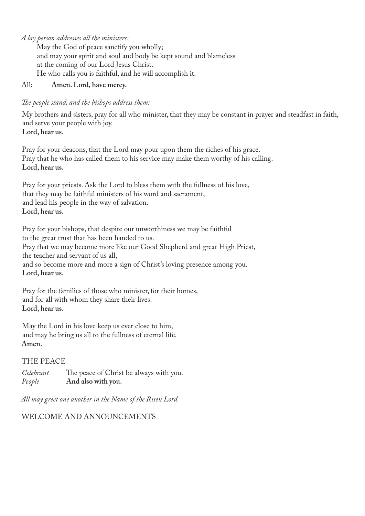*A lay person addresses all the ministers:*

May the God of peace sanctify you wholly; and may your spirit and soul and body be kept sound and blameless at the coming of our Lord Jesus Christ. He who calls you is faithful, and he will accomplish it.

#### All: **Amen. Lord, have mercy.**

#### *The people stand, and the bishops address them:*

My brothers and sisters, pray for all who minister, that they may be constant in prayer and steadfast in faith, and serve your people with joy. **Lord, hear us.**

Pray for your deacons, that the Lord may pour upon them the riches of his grace. Pray that he who has called them to his service may make them worthy of his calling. **Lord, hear us.**

Pray for your priests. Ask the Lord to bless them with the fullness of his love, that they may be faithful ministers of his word and sacrament, and lead his people in the way of salvation. **Lord, hear us.**

Pray for your bishops, that despite our unworthiness we may be faithful to the great trust that has been handed to us. Pray that we may become more like our Good Shepherd and great High Priest, the teacher and servant of us all, and so become more and more a sign of Christ's loving presence among you. **Lord, hear us.**

Pray for the families of those who minister, for their homes, and for all with whom they share their lives. **Lord, hear us.**

May the Lord in his love keep us ever close to him, and may he bring us all to the fullness of eternal life. **Amen.**

#### THE PEACE

*Celebrant* The peace of Christ be always with you. *People* **And also with you.**

*All may greet one another in the Name of the Risen Lord.* 

#### WELCOME AND ANNOUNCEMENTS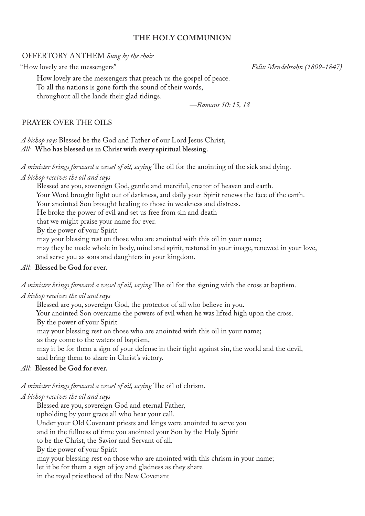#### **THE HOLY COMMUNION**

#### OFFERTORY ANTHEM *Sung by the choir*

"How lovely are the messengers" *Felix Mendelssohn (1809-1847)*

How lovely are the messengers that preach us the gospel of peace. To all the nations is gone forth the sound of their words, throughout all the lands their glad tidings.

*—Romans 10: 15, 18*

#### PRAYER OVER THE OILS

*A bishop says* Blessed be the God and Father of our Lord Jesus Christ, *All:* **Who has blessed us in Christ with every spiritual blessing.**

*A minister brings forward a vessel of oil, saying* The oil for the anointing of the sick and dying.

*A bishop receives the oil and says*

Blessed are you, sovereign God, gentle and merciful, creator of heaven and earth.

Your Word brought light out of darkness, and daily your Spirit renews the face of the earth.

Your anointed Son brought healing to those in weakness and distress.

He broke the power of evil and set us free from sin and death

that we might praise your name for ever.

By the power of your Spirit

may your blessing rest on those who are anointed with this oil in your name;

may they be made whole in body, mind and spirit, restored in your image, renewed in your love, and serve you as sons and daughters in your kingdom.

#### *All:* **Blessed be God for ever.**

*A minister brings forward a vessel of oil, saying* The oil for the signing with the cross at baptism.

#### *A bishop receives the oil and says*

Blessed are you, sovereign God, the protector of all who believe in you.

Your anointed Son overcame the powers of evil when he was lifted high upon the cross. By the power of your Spirit

may your blessing rest on those who are anointed with this oil in your name;

as they come to the waters of baptism,

may it be for them a sign of your defense in their fight against sin, the world and the devil, and bring them to share in Christ's victory.

#### *All:* **Blessed be God for ever.**

*A minister brings forward a vessel of oil, saying* The oil of chrism.

#### *A bishop receives the oil and says*

Blessed are you, sovereign God and eternal Father, upholding by your grace all who hear your call. Under your Old Covenant priests and kings were anointed to serve you and in the fullness of time you anointed your Son by the Holy Spirit to be the Christ, the Savior and Servant of all. By the power of your Spirit may your blessing rest on those who are anointed with this chrism in your name; let it be for them a sign of joy and gladness as they share in the royal priesthood of the New Covenant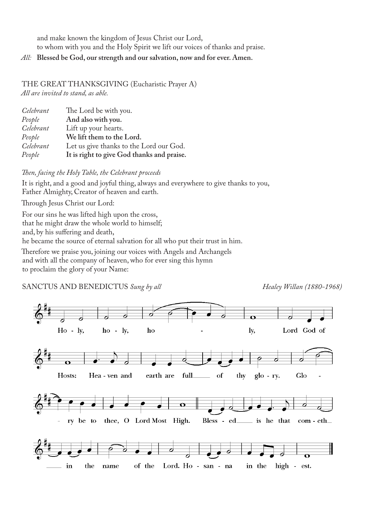and make known the kingdom of Jesus Christ our Lord, to whom with you and the Holy Spirit we lift our voices of thanks and praise.

#### *All:* **Blessed be God, our strength and our salvation, now and for ever. Amen.**

#### THE GREAT THANKSGIVING (Eucharistic Prayer A)

*All are invited to stand, as able.*

| Celebrant | The Lord be with you.                      |
|-----------|--------------------------------------------|
| People    | And also with you.                         |
| Celebrant | Lift up your hearts.                       |
| People    | We lift them to the Lord.                  |
| Celebrant | Let us give thanks to the Lord our God.    |
| People    | It is right to give God thanks and praise. |

*Then, facing the Holy Table, the Celebrant proceeds*

It is right, and a good and joyful thing, always and everywhere to give thanks to you, Father Almighty, Creator of heaven and earth.

Through Jesus Christ our Lord:

For our sins he was lifted high upon the cross, that he might draw the whole world to himself; and, by his suffering and death,

he became the source of eternal salvation for all who put their trust in him.

Therefore we praise you, joining our voices with Angels and Archangels and with all the company of heaven, who for ever sing this hymn to proclaim the glory of your Name:

SANCTUS AND BENEDICTUS *Sung by all* Healey *Willan (1880-1968)* 

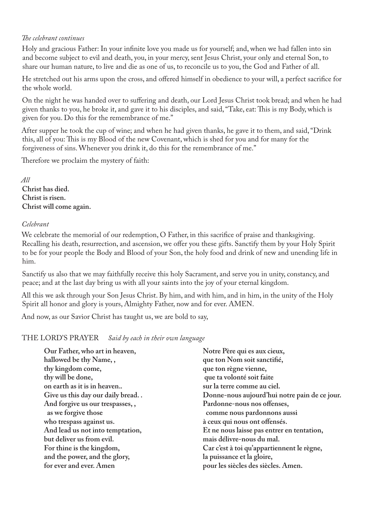#### *The celebrant continues*

Holy and gracious Father: In your infinite love you made us for yourself; and, when we had fallen into sin and become subject to evil and death, you, in your mercy, sent Jesus Christ, your only and eternal Son, to share our human nature, to live and die as one of us, to reconcile us to you, the God and Father of all.

He stretched out his arms upon the cross, and offered himself in obedience to your will, a perfect sacrifice for the whole world.

On the night he was handed over to suffering and death, our Lord Jesus Christ took bread; and when he had given thanks to you, he broke it, and gave it to his disciples, and said, "Take, eat: This is my Body, which is given for you. Do this for the remembrance of me."

After supper he took the cup of wine; and when he had given thanks, he gave it to them, and said, "Drink this, all of you: This is my Blood of the new Covenant, which is shed for you and for many for the forgiveness of sins. Whenever you drink it, do this for the remembrance of me."

Therefore we proclaim the mystery of faith:

*All* **Christ has died. Christ is risen. Christ will come again.**

#### *Celebrant*

We celebrate the memorial of our redemption, O Father, in this sacrifice of praise and thanksgiving. Recalling his death, resurrection, and ascension, we offer you these gifts. Sanctify them by your Holy Spirit to be for your people the Body and Blood of your Son, the holy food and drink of new and unending life in him.

Sanctify us also that we may faithfully receive this holy Sacrament, and serve you in unity, constancy, and peace; and at the last day bring us with all your saints into the joy of your eternal kingdom.

All this we ask through your Son Jesus Christ. By him, and with him, and in him, in the unity of the Holy Spirit all honor and glory is yours, Almighty Father, now and for ever. AMEN.

And now, as our Savior Christ has taught us, we are bold to say,

THE LORD'S PRAYER *Said by each in their own language*

| Our Father, who art in heaven,   | Notre Père qui es aux cieux,                  |
|----------------------------------|-----------------------------------------------|
| hallowed be thy Name,,           | que ton Nom soit sanctifié,                   |
| thy kingdom come,                | que ton règne vienne,                         |
| thy will be done,                | que ta volonté soit faite                     |
| on earth as it is in heaven      | sur la terre comme au ciel.                   |
| Give us this day our daily bread | Donne-nous aujourd'hui notre pain de ce jour. |
| And forgive us our trespasses,,  | Pardonne-nous nos offenses,                   |
| as we forgive those              | comme nous pardonnons aussi                   |
| who trespass against us.         | à ceux qui nous ont offensés.                 |
| And lead us not into temptation, | Et ne nous laisse pas entrer en tentation,    |
| but deliver us from evil.        | mais délivre-nous du mal.                     |
| For thine is the kingdom,        | Car c'est à toi qu'appartiennent le règne,    |
| and the power, and the glory,    | la puissance et la gloire,                    |
| for ever and ever. Amen          | pour les siècles des siècles. Amen.           |
|                                  |                                               |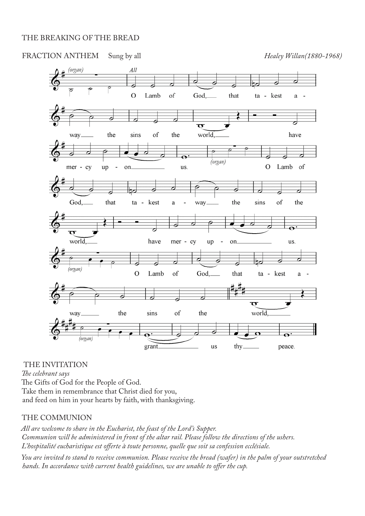#### THE BREAKING OF THE BREAD



THE INVITATION

*The celebrant says*  The Gifts of God for the People of God. Take them in remembrance that Christ died for you, and feed on him in your hearts by faith, with thanksgiving.

#### THE COMMUNION

*All are welcome to share in the Eucharist, the feast of the Lord's Supper. Communion will be administered in front of the altar rail. Please follow the directions of the ushers. L'hospitalité eucharistique est offerte à toute personne, quelle que soit sa confession ecclésiale.*

*You are invited to stand to receive communion. Please receive the bread (wafer) in the palm of your outstretched hands. In accordance with current health guidelines, we are unable to offer the cup.*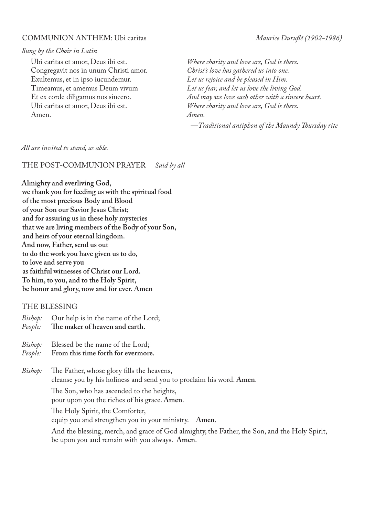#### COMMUNION ANTHEM: Ubi caritas *Maurice Duruflé (1902-1986)*

#### *Sung by the Choir in Latin*

Ubi caritas et amor, Deus ibi est. Congregavit nos in unum Christi amor. Exultemus, et in ipso iucundemur. Timeamus, et amemus Deum vivum Et ex corde diligamus nos sincero. Ubi caritas et amor, Deus ibi est. Amen.

*Where charity and love are, God is there. Christ's love has gathered us into one. Let us rejoice and be pleased in Him. Let us fear, and let us love the living God. And may we love each other with a sincere heart. Where charity and love are, God is there. Amen.*

*—Traditional antiphon of the Maundy Thursday rite*

#### *All are invited to stand, as able.*

#### THE POST-COMMUNION PRAYER *Said by all*

**Almighty and everliving God, we thank you for feeding us with the spiritual food of the most precious Body and Blood of your Son our Savior Jesus Christ; and for assuring us in these holy mysteries that we are living members of the Body of your Son, and heirs of your eternal kingdom. And now, Father, send us out to do the work you have given us to do, to love and serve you as faithful witnesses of Christ our Lord. To him, to you, and to the Holy Spirit, be honor and glory, now and for ever. Amen**

#### THE BLESSING

- *Bishop:* Our help is in the name of the Lord;
- *People:* **The maker of heaven and earth.**
- *Bishop:* Blessed be the name of the Lord;
- *People:* **From this time forth for evermore.**
- *Bishop:* The Father, whose glory fills the heavens, cleanse you by his holiness and send you to proclaim his word. **Amen**. The Son, who has ascended to the heights,
	- pour upon you the riches of his grace. **Amen**.

The Holy Spirit, the Comforter,

equip you and strengthen you in your ministry. **Amen**.

 And the blessing, merch, and grace of God almighty, the Father, the Son, and the Holy Spirit, be upon you and remain with you always. **Amen**.